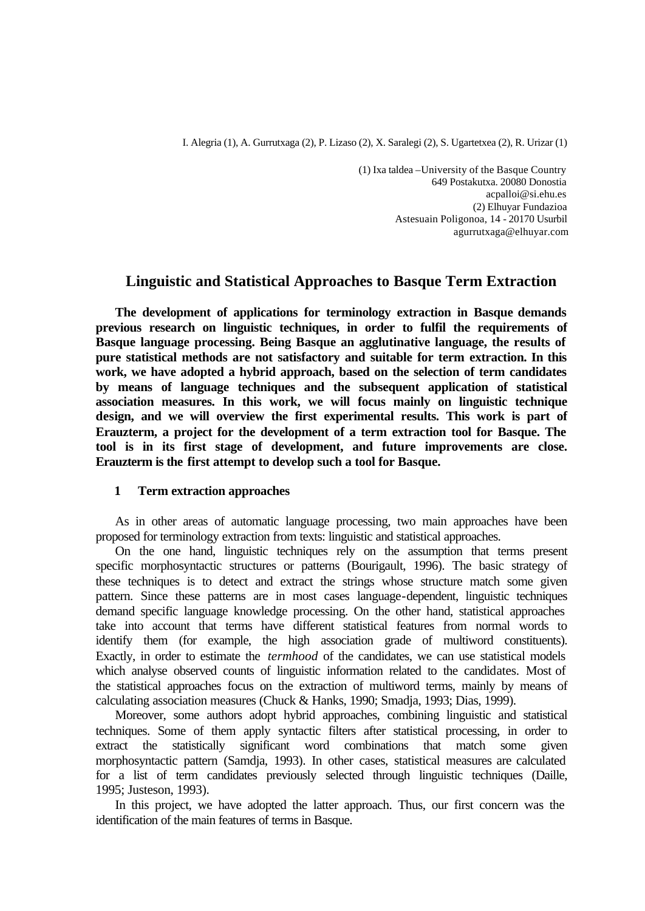I. Alegria (1), A. Gurrutxaga (2), P. Lizaso (2), X. Saralegi (2), S. Ugartetxea (2), R. Urizar (1)

(1) Ixa taldea –University of the Basque Country 649 Postakutxa. 20080 Donostia acpalloi@si.ehu.es (2) Elhuyar Fundazioa Astesuain Poligonoa, 14 - 20170 Usurbil agurrutxaga@elhuyar.com

# **Linguistic and Statistical Approaches to Basque Term Extraction**

**The development of applications for terminology extraction in Basque demands previous research on linguistic techniques, in order to fulfil the requirements of Basque language processing. Being Basque an agglutinative language, the results of pure statistical methods are not satisfactory and suitable for term extraction. In this work, we have adopted a hybrid approach, based on the selection of term candidates by means of language techniques and the subsequent application of statistical association measures. In this work, we will focus mainly on linguistic technique design, and we will overview the first experimental results. This work is part of Erauzterm, a project for the development of a term extraction tool for Basque. The tool is in its first stage of development, and future improvements are close. Erauzterm is the first attempt to develop such a tool for Basque.**

# **1 Term extraction approaches**

As in other areas of automatic language processing, two main approaches have been proposed for terminology extraction from texts: linguistic and statistical approaches.

On the one hand, linguistic techniques rely on the assumption that terms present specific morphosyntactic structures or patterns (Bourigault, 1996). The basic strategy of these techniques is to detect and extract the strings whose structure match some given pattern. Since these patterns are in most cases language-dependent, linguistic techniques demand specific language knowledge processing. On the other hand, statistical approaches take into account that terms have different statistical features from normal words to identify them (for example, the high association grade of multiword constituents). Exactly, in order to estimate the *termhood* of the candidates, we can use statistical models which analyse observed counts of linguistic information related to the candidates. Most of the statistical approaches focus on the extraction of multiword terms, mainly by means of calculating association measures (Chuck & Hanks, 1990; Smadja, 1993; Dias, 1999).

Moreover, some authors adopt hybrid approaches, combining linguistic and statistical techniques. Some of them apply syntactic filters after statistical processing, in order to extract the statistically significant word combinations that match some given morphosyntactic pattern (Samdja, 1993). In other cases, statistical measures are calculated for a list of term candidates previously selected through linguistic techniques (Daille, 1995; Justeson, 1993).

In this project, we have adopted the latter approach. Thus, our first concern was the identification of the main features of terms in Basque.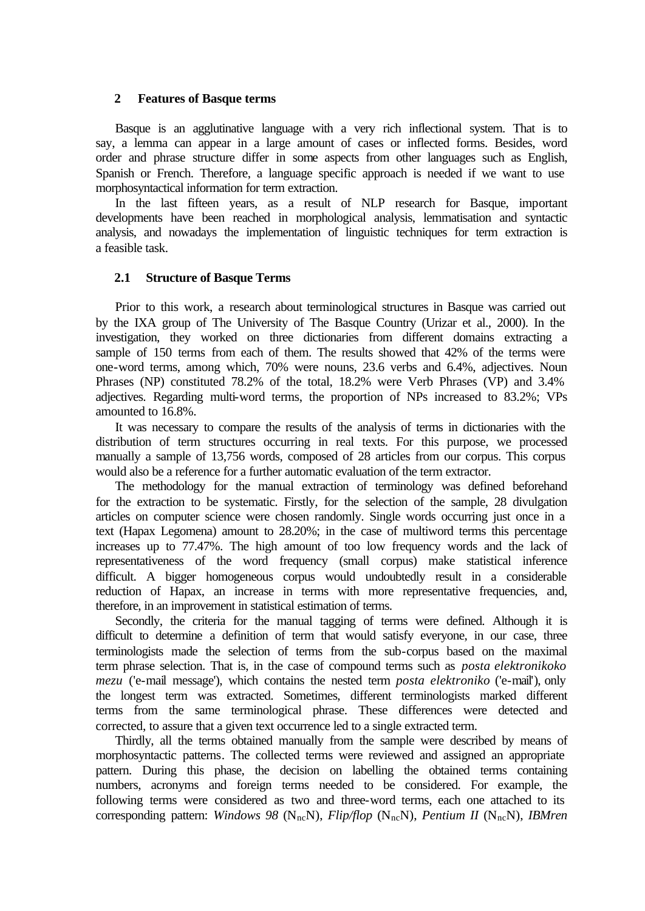#### **2 Features of Basque terms**

Basque is an agglutinative language with a very rich inflectional system. That is to say, a lemma can appear in a large amount of cases or inflected forms. Besides, word order and phrase structure differ in some aspects from other languages such as English, Spanish or French. Therefore, a language specific approach is needed if we want to use morphosyntactical information for term extraction.

In the last fifteen years, as a result of NLP research for Basque, important developments have been reached in morphological analysis, lemmatisation and syntactic analysis, and nowadays the implementation of linguistic techniques for term extraction is a feasible task.

# **2.1 Structure of Basque Terms**

Prior to this work, a research about terminological structures in Basque was carried out by the IXA group of The University of The Basque Country (Urizar et al., 2000). In the investigation, they worked on three dictionaries from different domains extracting a sample of 150 terms from each of them. The results showed that 42% of the terms were one-word terms, among which, 70% were nouns, 23.6 verbs and 6.4%, adjectives. Noun Phrases (NP) constituted 78.2% of the total, 18.2% were Verb Phrases (VP) and 3.4% adjectives. Regarding multi-word terms, the proportion of NPs increased to 83.2%; VPs amounted to 16.8%.

It was necessary to compare the results of the analysis of terms in dictionaries with the distribution of term structures occurring in real texts. For this purpose, we processed manually a sample of 13,756 words, composed of 28 articles from our corpus. This corpus would also be a reference for a further automatic evaluation of the term extractor.

The methodology for the manual extraction of terminology was defined beforehand for the extraction to be systematic. Firstly, for the selection of the sample, 28 divulgation articles on computer science were chosen randomly. Single words occurring just once in a text (Hapax Legomena) amount to 28.20%; in the case of multiword terms this percentage increases up to 77.47%. The high amount of too low frequency words and the lack of representativeness of the word frequency (small corpus) make statistical inference difficult. A bigger homogeneous corpus would undoubtedly result in a considerable reduction of Hapax, an increase in terms with more representative frequencies, and, therefore, in an improvement in statistical estimation of terms.

Secondly, the criteria for the manual tagging of terms were defined. Although it is difficult to determine a definition of term that would satisfy everyone, in our case, three terminologists made the selection of terms from the sub-corpus based on the maximal term phrase selection. That is, in the case of compound terms such as *posta elektronikoko mezu* ('e-mail message'), which contains the nested term *posta elektroniko* ('e-mail'), only the longest term was extracted. Sometimes, different terminologists marked different terms from the same terminological phrase. These differences were detected and corrected, to assure that a given text occurrence led to a single extracted term.

Thirdly, all the terms obtained manually from the sample were described by means of morphosyntactic patterns. The collected terms were reviewed and assigned an appropriate pattern. During this phase, the decision on labelling the obtained terms containing numbers, acronyms and foreign terms needed to be considered. For example, the following terms were considered as two and three-word terms, each one attached to its corresponding pattern: *Windows 98* (N<sub>nc</sub>N), *Flip/flop* (N<sub>nc</sub>N), *Pentium II* (N<sub>nc</sub>N), *IBMren*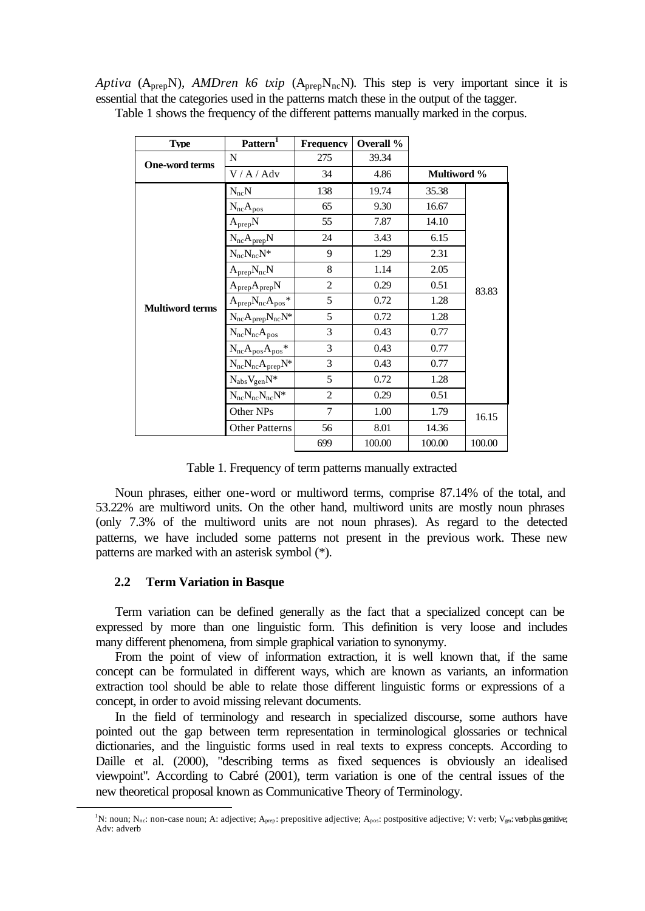*Aptiva* ( $A_{prep}N$ ), *AMDren k6 txip* ( $A_{prep}N_{nc}N$ ). This step is very important since it is essential that the categories used in the patterns match these in the output of the tagger.

| <b>Type</b>            | Pattern <sup>1</sup>        | <b>Frequency</b> | Overall % |                    |        |
|------------------------|-----------------------------|------------------|-----------|--------------------|--------|
| <b>One-word terms</b>  | N                           | 275              | 39.34     |                    |        |
|                        | V / A / Adv                 | 34               | 4.86      | <b>Multiword %</b> |        |
|                        | $N_{nc}N$                   | 138              | 19.74     | 35.38              |        |
|                        | $N_{nc}A_{pos}$             | 65               | 9.30      | 16.67              |        |
|                        | $A_{prep}N$                 | 55               | 7.87      | 14.10              |        |
|                        | $N_{nc}A_{prep}N$           | 24               | 3.43      | 6.15               |        |
|                        | $N_{nc}N_{nc}N^*$           | 9                | 1.29      | 2.31               |        |
| <b>Multiword terms</b> | $A_{prep}N_{nc}N$           | 8                | 1.14      | 2.05               | 83.83  |
|                        | $A_{prep}A_{prep}N$         | $\overline{2}$   | 0.29      | 0.51               |        |
|                        | $A_{prep}N_{nc}A_{pos}$ *   | 5                | 0.72      | 1.28               |        |
|                        | $N_{nc}A_{prep}N_{nc}N^*$   | 5                | 0.72      | 1.28               |        |
|                        | $N_{nc}N_{nc}A_{pos}$       | 3                | 0.43      | 0.77               |        |
|                        | $N_{nc}A_{pos}A_{pos}$ *    | 3                | 0.43      | 0.77               |        |
|                        | $N_{nc}N_{nc}A_{prep}N^{*}$ | 3                | 0.43      | 0.77               |        |
|                        | $N_{abs}V_{gen}N^{\ast}$    | 5                | 0.72      | 1.28               |        |
|                        | $N_{nc}N_{nc}N_{nc}N^*$     | $\overline{2}$   | 0.29      | 0.51               |        |
|                        | Other NPs                   | 7                | 1.00      | 1.79               | 16.15  |
|                        | <b>Other Patterns</b>       | 56               | 8.01      | 14.36              |        |
|                        |                             | 699              | 100.00    | 100.00             | 100.00 |

Table 1 shows the frequency of the different patterns manually marked in the corpus.

Table 1. Frequency of term patterns manually extracted

Noun phrases, either one-word or multiword terms, comprise 87.14% of the total, and 53.22% are multiword units. On the other hand, multiword units are mostly noun phrases (only 7.3% of the multiword units are not noun phrases). As regard to the detected patterns, we have included some patterns not present in the previous work. These new patterns are marked with an asterisk symbol (\*).

# **2.2 Term Variation in Basque**

l

Term variation can be defined generally as the fact that a specialized concept can be expressed by more than one linguistic form. This definition is very loose and includes many different phenomena, from simple graphical variation to synonymy.

From the point of view of information extraction, it is well known that, if the same concept can be formulated in different ways, which are known as variants, an information extraction tool should be able to relate those different linguistic forms or expressions of a concept, in order to avoid missing relevant documents.

In the field of terminology and research in specialized discourse, some authors have pointed out the gap between term representation in terminological glossaries or technical dictionaries, and the linguistic forms used in real texts to express concepts. According to Daille et al. (2000), "describing terms as fixed sequences is obviously an idealised viewpoint". According to Cabré (2001), term variation is one of the central issues of the new theoretical proposal known as Communicative Theory of Terminology.

<sup>&</sup>lt;sup>1</sup>N: noun; N<sub>nc</sub>: non-case noun; A: adjective; A<sub>prep</sub>: prepositive adjective; A<sub>pos</sub>: postpositive adjective; V: verb; V<sub>gn</sub>: verb plus genitive; Adv: adverb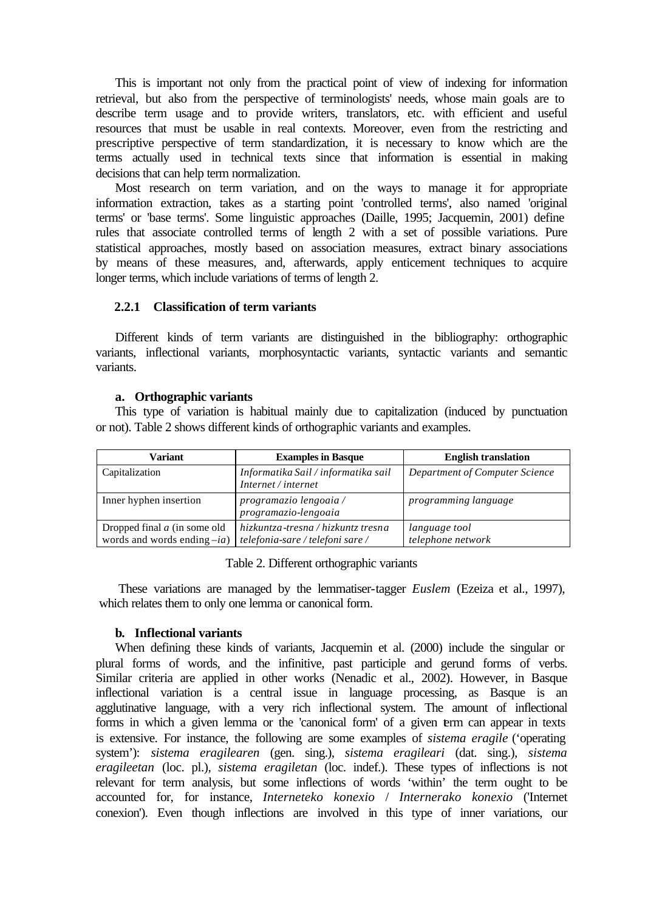This is important not only from the practical point of view of indexing for information retrieval, but also from the perspective of terminologists' needs, whose main goals are to describe term usage and to provide writers, translators, etc. with efficient and useful resources that must be usable in real contexts. Moreover, even from the restricting and prescriptive perspective of term standardization, it is necessary to know which are the terms actually used in technical texts since that information is essential in making decisions that can help term normalization.

Most research on term variation, and on the ways to manage it for appropriate information extraction, takes as a starting point 'controlled terms', also named 'original terms' or 'base terms'. Some linguistic approaches (Daille, 1995; Jacquemin, 2001) define rules that associate controlled terms of length 2 with a set of possible variations. Pure statistical approaches, mostly based on association measures, extract binary associations by means of these measures, and, afterwards, apply enticement techniques to acquire longer terms, which include variations of terms of length 2.

#### **2.2.1 Classification of term variants**

Different kinds of term variants are distinguished in the bibliography: orthographic variants, inflectional variants, morphosyntactic variants, syntactic variants and semantic variants.

#### **a. Orthographic variants**

This type of variation is habitual mainly due to capitalization (induced by punctuation or not). Table 2 shows different kinds of orthographic variants and examples.

| Variant                                                          | <b>Examples in Basque</b>                                              | <b>English translation</b>         |
|------------------------------------------------------------------|------------------------------------------------------------------------|------------------------------------|
| Capitalization                                                   | Informatika Sail / informatika sail<br>Internet / internet             | Department of Computer Science     |
| Inner hyphen insertion                                           | programazio lengoaia /<br>programazio-lengoaia                         | programming language               |
| Dropped final $a$ (in some old<br>words and words ending $-ia$ ) | hizkuntza-tresna / hizkuntz tresna<br>telefonia-sare / telefoni sare / | language tool<br>telephone network |

Table 2. Different orthographic variants

These variations are managed by the lemmatiser-tagger *Euslem* (Ezeiza et al., 1997), which relates them to only one lemma or canonical form.

#### **b. Inflectional variants**

When defining these kinds of variants, Jacquemin et al. (2000) include the singular or plural forms of words, and the infinitive, past participle and gerund forms of verbs. Similar criteria are applied in other works (Nenadic et al., 2002). However, in Basque inflectional variation is a central issue in language processing, as Basque is an agglutinative language, with a very rich inflectional system. The amount of inflectional forms in which a given lemma or the 'canonical form' of a given term can appear in texts is extensive. For instance, the following are some examples of *sistema eragile* ('operating system'): *sistema eragilearen* (gen. sing.), *sistema eragileari* (dat. sing.)*, sistema eragileetan* (loc. pl.), *sistema eragiletan* (loc. indef.). These types of inflections is not relevant for term analysis, but some inflections of words 'within' the term ought to be accounted for, for instance, *Interneteko konexio* / *Internerako konexio* ('Internet conexion'). Even though inflections are involved in this type of inner variations, our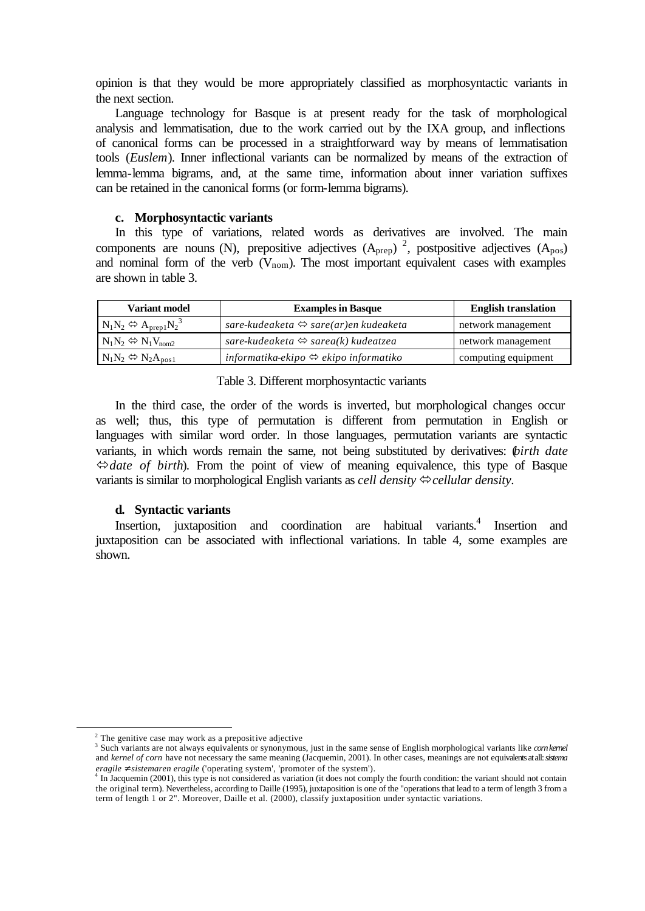opinion is that they would be more appropriately classified as morphosyntactic variants in the next section.

Language technology for Basque is at present ready for the task of morphological analysis and lemmatisation, due to the work carried out by the IXA group, and inflections of canonical forms can be processed in a straightforward way by means of lemmatisation tools (*Euslem*). Inner inflectional variants can be normalized by means of the extraction of lemma-lemma bigrams, and, at the same time, information about inner variation suffixes can be retained in the canonical forms (or form-lemma bigrams).

#### **c. Morphosyntactic variants**

In this type of variations, related words as derivatives are involved. The main components are nouns (N), prepositive adjectives  $(A_{\text{prep}})^2$ , postpositive adjectives  $(A_{\text{pos}})$ and nominal form of the verb  $(V_{\text{nom}})$ . The most important equivalent cases with examples are shown in table 3.

| Variant model                               | <b>Examples in Basque</b>                             | <b>English translation</b> |
|---------------------------------------------|-------------------------------------------------------|----------------------------|
| $N_1N_2 \Leftrightarrow A_{prep1}N_2^3$     | sare-kudeaketa $\Leftrightarrow$ sare(ar)en kudeaketa | network management         |
| $N_1N_2 \Leftrightarrow N_1V_{\text{nom2}}$ | sare-kudeaketa $\Leftrightarrow$ sarea(k) kudeatzea   | network management         |
| $N_1N_2 \Leftrightarrow N_2A_{\text{pos1}}$ | informatika-ekipo $\Leftrightarrow$ ekipo informatiko | computing equipment        |

Table 3. Different morphosyntactic variants

In the third case, the order of the words is inverted, but morphological changes occur as well; thus, this type of permutation is different from permutation in English or languages with similar word order. In those languages, permutation variants are syntactic variants, in which words remain the same, not being substituted by derivatives: (*birth date* Û*date of birth*). From the point of view of meaning equivalence, this type of Basque variants is similar to morphological English variants as *cell density*  $\Leftrightarrow$  *cellular density.* 

#### **d. Syntactic variants**

Insertion, juxtaposition and coordination are habitual variants.<sup>4</sup> Insertion and juxtaposition can be associated with inflectional variations. In table 4, some examples are shown.

l

 $2$  The genitive case may work as a prepositive adjective

<sup>3</sup> Such variants are not always equivalents or synonymous, just in the same sense of English morphological variants like *corn kernel* and *kernel of corn* have not necessary the same meaning (Jacquemin, 2001). In other cases, meanings are not equivalents at all: *sistema eragile* ≠ *sistemaren eragile* ('operating system', 'promoter of the system'). 4 In Jacquemin (2001), this type is not considered as variation (it does not comply the fourth condition: the variant should not contain

the original term). Nevertheless, according to Daille (1995), juxtaposition is one of the "operations that lead to a term of length 3 from a term of length 1 or 2". Moreover, Daille et al. (2000), classify juxtaposition under syntactic variations.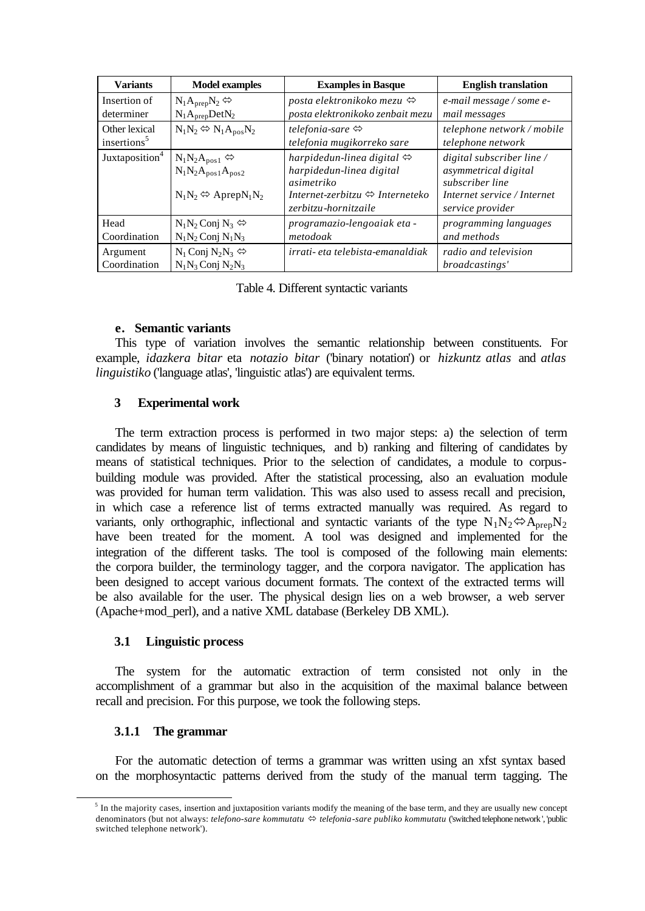| <b>Variants</b>            | <b>Model examples</b>                                                                                   | <b>Examples in Basque</b>                                                                                                                                       | <b>English translation</b>                                                                                              |
|----------------------------|---------------------------------------------------------------------------------------------------------|-----------------------------------------------------------------------------------------------------------------------------------------------------------------|-------------------------------------------------------------------------------------------------------------------------|
| Insertion of               | $N_1A_{prep}N_2 \Leftrightarrow$                                                                        | posta elektronikoko mezu $\Leftrightarrow$                                                                                                                      | e-mail message / some e-                                                                                                |
| determiner                 | $N_1A_{prep}DetN_2$                                                                                     | posta elektronikoko zenbait mezu                                                                                                                                | mail messages                                                                                                           |
| Other lexical              | $N_1N_2 \Leftrightarrow N_1A_{pos}N_2$                                                                  | telefonia-sare $\Leftrightarrow$                                                                                                                                | telephone network / mobile                                                                                              |
| insertions <sup>5</sup>    |                                                                                                         | telefonia mugikorreko sare                                                                                                                                      | telephone network                                                                                                       |
| Juxtaposition <sup>4</sup> | $N_1N_2A_{pos1} \Leftrightarrow$<br>$N_1N_2A_{pos1}A_{pos2}$<br>$N_1N_2 \Leftrightarrow$ Aprep $N_1N_2$ | harpidedun-linea digital $\Leftrightarrow$<br>harpidedun-linea digital<br>asimetriko<br>Internet-zerbitzu $\Leftrightarrow$ Interneteko<br>zerbitzu-hornitzaile | digital subscriber line /<br>asymmetrical digital<br>subscriber line<br>Internet service / Internet<br>service provider |
| Head                       | $N_1N_2$ Conj $N_3 \Leftrightarrow$                                                                     | programazio-lengoaiak eta -                                                                                                                                     | programming languages                                                                                                   |
| Coordination               | $N_1N_2$ Conj $N_1N_3$                                                                                  | metodoak                                                                                                                                                        | and methods                                                                                                             |
| Argument                   | $N_1$ Conj $N_2N_3 \Leftrightarrow$                                                                     | irrati- eta telebista-emanaldiak                                                                                                                                | radio and television                                                                                                    |
| Coordination               | $N_1N_3$ Conj $N_2N_3$                                                                                  |                                                                                                                                                                 | broadcastings'                                                                                                          |

Table 4. Different syntactic variants

#### **e. Semantic variants**

This type of variation involves the semantic relationship between constituents. For example, *idazkera bitar* eta *notazio bitar* ('binary notation') or *hizkuntz atlas* and *atlas linguistiko* ('language atlas', 'linguistic atlas') are equivalent terms.

# **3 Experimental work**

The term extraction process is performed in two major steps: a) the selection of term candidates by means of linguistic techniques, and b) ranking and filtering of candidates by means of statistical techniques. Prior to the selection of candidates, a module to corpusbuilding module was provided. After the statistical processing, also an evaluation module was provided for human term validation. This was also used to assess recall and precision, in which case a reference list of terms extracted manually was required. As regard to variants, only orthographic, inflectional and syntactic variants of the type  $N_1N_2 \Leftrightarrow A_{prep}N_2$ have been treated for the moment. A tool was designed and implemented for the integration of the different tasks. The tool is composed of the following main elements: the corpora builder, the terminology tagger, and the corpora navigator. The application has been designed to accept various document formats. The context of the extracted terms will be also available for the user. The physical design lies on a web browser, a web server (Apache+mod\_perl), and a native XML database (Berkeley DB XML).

# **3.1 Linguistic process**

The system for the automatic extraction of term consisted not only in the accomplishment of a grammar but also in the acquisition of the maximal balance between recall and precision. For this purpose, we took the following steps.

# **3.1.1 The grammar**

l

For the automatic detection of terms a grammar was written using an xfst syntax based on the morphosyntactic patterns derived from the study of the manual term tagging. The

 $<sup>5</sup>$  In the majority cases, insertion and juxtaposition variants modify the meaning of the base term, and they are usually new concept</sup> denominators (but not always: *telefono-sare kommutatu* ⇔ *telefonia-sare publiko kommutatu* ('switched telephone network', 'public switched telephone network').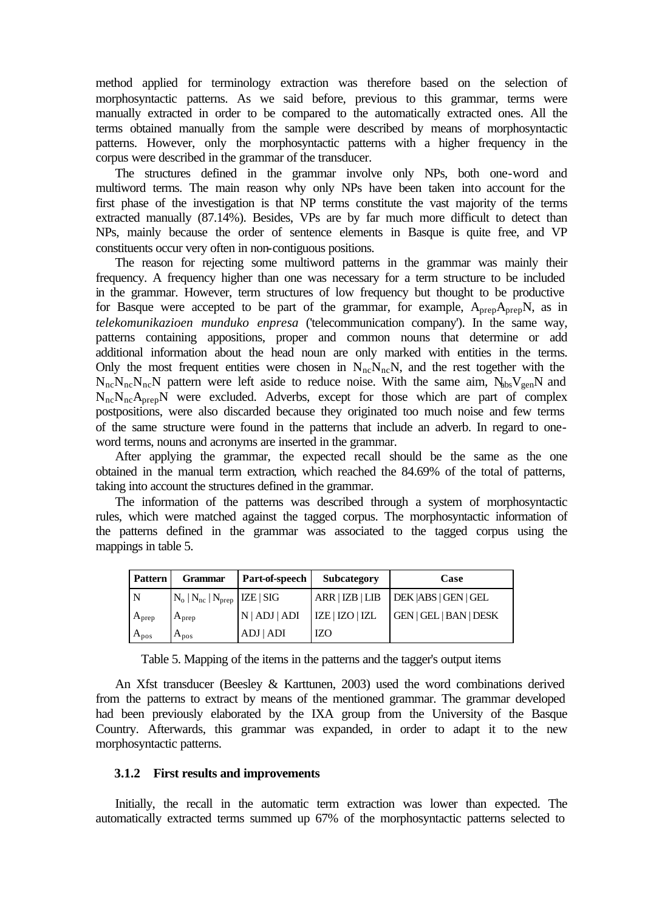method applied for terminology extraction was therefore based on the selection of morphosyntactic patterns. As we said before, previous to this grammar, terms were manually extracted in order to be compared to the automatically extracted ones. All the terms obtained manually from the sample were described by means of morphosyntactic patterns. However, only the morphosyntactic patterns with a higher frequency in the corpus were described in the grammar of the transducer.

The structures defined in the grammar involve only NPs, both one-word and multiword terms. The main reason why only NPs have been taken into account for the first phase of the investigation is that NP terms constitute the vast majority of the terms extracted manually (87.14%). Besides, VPs are by far much more difficult to detect than NPs, mainly because the order of sentence elements in Basque is quite free, and VP constituents occur very often in non-contiguous positions.

The reason for rejecting some multiword patterns in the grammar was mainly their frequency. A frequency higher than one was necessary for a term structure to be included in the grammar. However, term structures of low frequency but thought to be productive for Basque were accepted to be part of the grammar, for example,  $A_{prep}A_{prep}N$ , as in *telekomunikazioen munduko enpresa* ('telecommunication company'). In the same way, patterns containing appositions, proper and common nouns that determine or add additional information about the head noun are only marked with entities in the terms. Only the most frequent entities were chosen in  $N_{nc}N_{nc}N$ , and the rest together with the  $N_{nc}N_{nc}N_{nc}N$  pattern were left aside to reduce noise. With the same aim,  $N_{bbs}V_{gen}N$  and  $N_{nc}N_{nc}A_{pre}N$  were excluded. Adverbs, except for those which are part of complex postpositions, were also discarded because they originated too much noise and few terms of the same structure were found in the patterns that include an adverb. In regard to oneword terms, nouns and acronyms are inserted in the grammar.

After applying the grammar, the expected recall should be the same as the one obtained in the manual term extraction, which reached the 84.69% of the total of patterns, taking into account the structures defined in the grammar.

The information of the patterns was described through a system of morphosyntactic rules, which were matched against the tagged corpus. The morphosyntactic information of the patterns defined in the grammar was associated to the tagged corpus using the mappings in table 5.

| <b>Pattern</b> | <b>Grammar</b>                      | Part-of-speech | <b>Subcategory</b> | Case                   |
|----------------|-------------------------------------|----------------|--------------------|------------------------|
| . N            | $N_o   N_{nc}   N_{prep}$ IZE   SIG |                | ARR   IZB   LIB    | DEK   ABS   GEN   GEL  |
| $A_{prep}$     | $A_{prep}$                          | N   ADJ   ADI  | IZE   IZO   IZL    | GEN   GEL   BAN   DESK |
| $A_{pos}$      | $A_{pos}$                           | ADJ   ADI      | IZO                |                        |

Table 5. Mapping of the items in the patterns and the tagger's output items

An Xfst transducer (Beesley & Karttunen, 2003) used the word combinations derived from the patterns to extract by means of the mentioned grammar. The grammar developed had been previously elaborated by the IXA group from the University of the Basque Country. Afterwards, this grammar was expanded, in order to adapt it to the new morphosyntactic patterns.

#### **3.1.2 First results and improvements**

Initially, the recall in the automatic term extraction was lower than expected. The automatically extracted terms summed up 67% of the morphosyntactic patterns selected to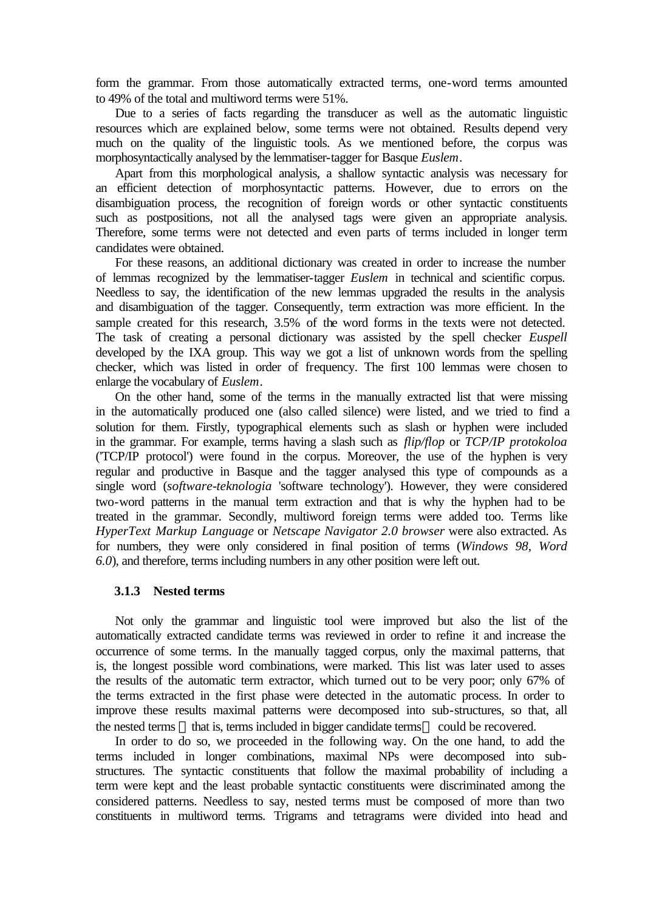form the grammar. From those automatically extracted terms, one-word terms amounted to 49% of the total and multiword terms were 51%.

Due to a series of facts regarding the transducer as well as the automatic linguistic resources which are explained below, some terms were not obtained. Results depend very much on the quality of the linguistic tools. As we mentioned before, the corpus was morphosyntactically analysed by the lemmatiser-tagger for Basque *Euslem*.

Apart from this morphological analysis, a shallow syntactic analysis was necessary for an efficient detection of morphosyntactic patterns. However, due to errors on the disambiguation process, the recognition of foreign words or other syntactic constituents such as postpositions, not all the analysed tags were given an appropriate analysis. Therefore, some terms were not detected and even parts of terms included in longer term candidates were obtained.

For these reasons, an additional dictionary was created in order to increase the number of lemmas recognized by the lemmatiser-tagger *Euslem* in technical and scientific corpus. Needless to say, the identification of the new lemmas upgraded the results in the analysis and disambiguation of the tagger. Consequently, term extraction was more efficient. In the sample created for this research, 3.5% of the word forms in the texts were not detected. The task of creating a personal dictionary was assisted by the spell checker *Euspell* developed by the IXA group. This way we got a list of unknown words from the spelling checker, which was listed in order of frequency. The first 100 lemmas were chosen to enlarge the vocabulary of *Euslem*.

On the other hand, some of the terms in the manually extracted list that were missing in the automatically produced one (also called silence) were listed, and we tried to find a solution for them. Firstly, typographical elements such as slash or hyphen were included in the grammar. For example, terms having a slash such as *flip/flop* or *TCP/IP protokoloa* ('TCP/IP protocol') were found in the corpus. Moreover, the use of the hyphen is very regular and productive in Basque and the tagger analysed this type of compounds as a single word (*software-teknologia* 'software technology'). However, they were considered two-word patterns in the manual term extraction and that is why the hyphen had to be treated in the grammar. Secondly, multiword foreign terms were added too. Terms like *HyperText Markup Language* or *Netscape Navigator 2.0 browser* were also extracted. As for numbers, they were only considered in final position of terms (*Windows 98*, *Word 6.0*), and therefore, terms including numbers in any other position were left out.

#### **3.1.3 Nested terms**

Not only the grammar and linguistic tool were improved but also the list of the automatically extracted candidate terms was reviewed in order to refine it and increase the occurrence of some terms. In the manually tagged corpus, only the maximal patterns, that is, the longest possible word combinations, were marked. This list was later used to asses the results of the automatic term extractor, which turned out to be very poor; only 67% of the terms extracted in the first phase were detected in the automatic process. In order to improve these results maximal patterns were decomposed into sub-structures, so that, all the nested terms — that is, terms included in bigger candidate terms — could be recovered.

In order to do so, we proceeded in the following way. On the one hand, to add the terms included in longer combinations, maximal NPs were decomposed into substructures. The syntactic constituents that follow the maximal probability of including a term were kept and the least probable syntactic constituents were discriminated among the considered patterns. Needless to say, nested terms must be composed of more than two constituents in multiword terms. Trigrams and tetragrams were divided into head and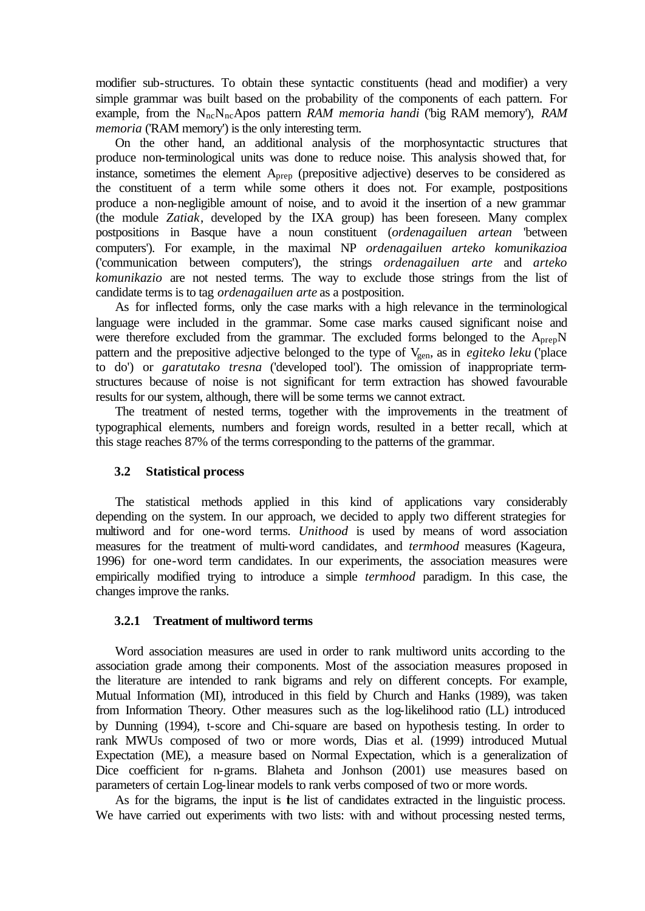modifier sub-structures. To obtain these syntactic constituents (head and modifier) a very simple grammar was built based on the probability of the components of each pattern. For example, from the N<sub>nc</sub>N<sub>nc</sub>Apos pattern *RAM memoria handi* ('big RAM memory'), *RAM memoria* ('RAM memory') is the only interesting term.

On the other hand, an additional analysis of the morphosyntactic structures that produce non-terminological units was done to reduce noise. This analysis showed that, for instance, sometimes the element Aprep (prepositive adjective) deserves to be considered as the constituent of a term while some others it does not. For example, postpositions produce a non-negligible amount of noise, and to avoid it the insertion of a new grammar (the module *Zatiak*, developed by the IXA group) has been foreseen. Many complex postpositions in Basque have a noun constituent (*ordenagailuen artean* 'between computers'). For example, in the maximal NP *ordenagailuen arteko komunikazioa* ('communication between computers'), the strings *ordenagailuen arte* and *arteko komunikazio* are not nested terms. The way to exclude those strings from the list of candidate terms is to tag *ordenagailuen arte* as a postposition.

As for inflected forms, only the case marks with a high relevance in the terminological language were included in the grammar. Some case marks caused significant noise and were therefore excluded from the grammar. The excluded forms belonged to the  $A_{pre}N$ pattern and the prepositive adjective belonged to the type of V<sub>gen</sub>, as in *egiteko leku* ('place to do') or *garatutako tresna* ('developed tool'). The omission of inappropriate termstructures because of noise is not significant for term extraction has showed favourable results for our system, although, there will be some terms we cannot extract.

The treatment of nested terms, together with the improvements in the treatment of typographical elements, numbers and foreign words, resulted in a better recall, which at this stage reaches 87% of the terms corresponding to the patterns of the grammar.

# **3.2 Statistical process**

The statistical methods applied in this kind of applications vary considerably depending on the system. In our approach, we decided to apply two different strategies for multiword and for one-word terms. *Unithood* is used by means of word association measures for the treatment of multi-word candidates, and *termhood* measures (Kageura, 1996) for one-word term candidates. In our experiments, the association measures were empirically modified trying to introduce a simple *termhood* paradigm. In this case, the changes improve the ranks.

# **3.2.1 Treatment of multiword terms**

Word association measures are used in order to rank multiword units according to the association grade among their components. Most of the association measures proposed in the literature are intended to rank bigrams and rely on different concepts. For example, Mutual Information (MI), introduced in this field by Church and Hanks (1989), was taken from Information Theory. Other measures such as the log-likelihood ratio (LL) introduced by Dunning (1994), t-score and Chi-square are based on hypothesis testing. In order to rank MWUs composed of two or more words, Dias et al. (1999) introduced Mutual Expectation (ME), a measure based on Normal Expectation, which is a generalization of Dice coefficient for n-grams. Blaheta and Jonhson (2001) use measures based on parameters of certain Log-linear models to rank verbs composed of two or more words.

As for the bigrams, the input is the list of candidates extracted in the linguistic process. We have carried out experiments with two lists: with and without processing nested terms,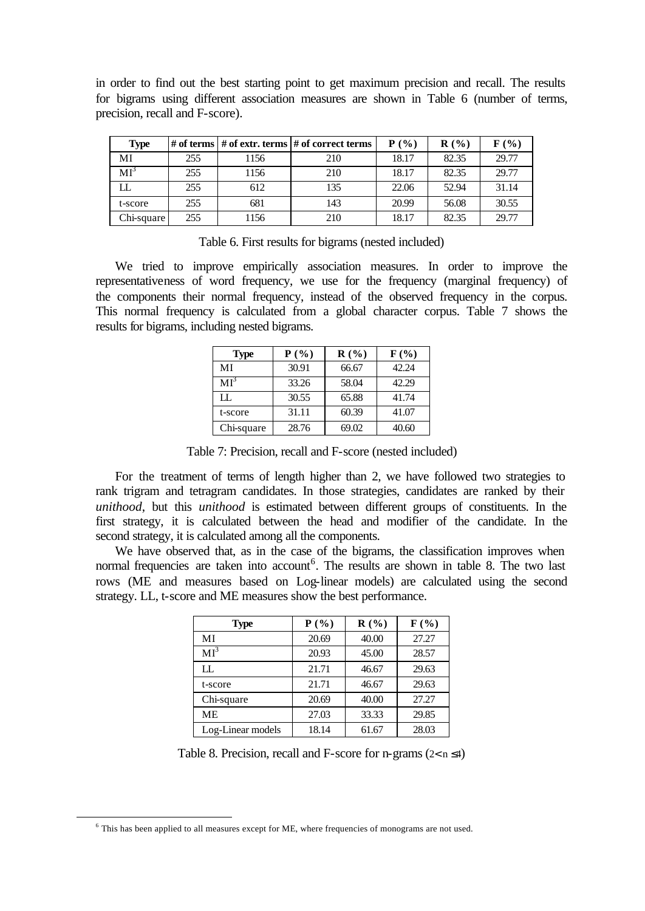in order to find out the best starting point to get maximum precision and recall. The results for bigrams using different association measures are shown in Table 6 (number of terms, precision, recall and F-score).

| <b>Type</b> |     |      | # of terms $\vert \#$ of extr. terms $\vert \#$ of correct terms | $P(\%)$ | $\mathbf{R}(\mathcal{C})$ | $\mathbf{F}(\mathcal{V}_0)$ |
|-------------|-----|------|------------------------------------------------------------------|---------|---------------------------|-----------------------------|
| MI          | 255 | 1156 | 210                                                              | 18.17   | 82.35                     | 29.77                       |
| $MI^2$      | 255 | 1156 | 210                                                              | 18.17   | 82.35                     | 29.77                       |
| LI.         | 255 | 612  | 135                                                              | 22.06   | 52.94                     | 31.14                       |
| t-score     | 255 | 681  | 143                                                              | 20.99   | 56.08                     | 30.55                       |
| Chi-square  | 255 | 1156 | 210                                                              | 18.17   | 82.35                     | 29.77                       |

Table 6. First results for bigrams (nested included)

We tried to improve empirically association measures. In order to improve the representativeness of word frequency, we use for the frequency (marginal frequency) of the components their normal frequency, instead of the observed frequency in the corpus. This normal frequency is calculated from a global character corpus. Table 7 shows the results for bigrams, including nested bigrams.

| <b>Type</b> | $P(\%)$ | R(%)  | $F(\%)$ |
|-------------|---------|-------|---------|
| МI          | 30.91   | 66.67 | 42.24   |
| $MI^3$      | 33.26   | 58.04 | 42.29   |
| H.          | 30.55   | 65.88 | 41.74   |
| t-score     | 31.11   | 60.39 | 41.07   |
| Chi-square  | 28.76   | 69.02 | 40.60   |

Table 7: Precision, recall and F-score (nested included)

For the treatment of terms of length higher than 2, we have followed two strategies to rank trigram and tetragram candidates. In those strategies, candidates are ranked by their *unithood*, but this *unithood* is estimated between different groups of constituents. In the first strategy, it is calculated between the head and modifier of the candidate. In the second strategy, it is calculated among all the components.

We have observed that, as in the case of the bigrams, the classification improves when normal frequencies are taken into account<sup>6</sup>. The results are shown in table 8. The two last rows (ME and measures based on Log-linear models) are calculated using the second strategy. LL, t-score and ME measures show the best performance.

| <b>Type</b>       | P(%)  | R(%)  | $F(\%)$ |
|-------------------|-------|-------|---------|
| MI                | 20.69 | 40.00 | 27.27   |
| MI <sup>3</sup>   | 20.93 | 45.00 | 28.57   |
| $\rm LL$          | 21.71 | 46.67 | 29.63   |
| t-score           | 21.71 | 46.67 | 29.63   |
| Chi-square        | 20.69 | 40.00 | 27.27   |
| <b>ME</b>         | 27.03 | 33.33 | 29.85   |
| Log-Linear models | 18.14 | 61.67 | 28.03   |

Table 8. Precision, recall and F-score for n-grams  $(2 < n \le 4)$ 

l

<sup>6</sup> This has been applied to all measures except for ME, where frequencies of monograms are not used.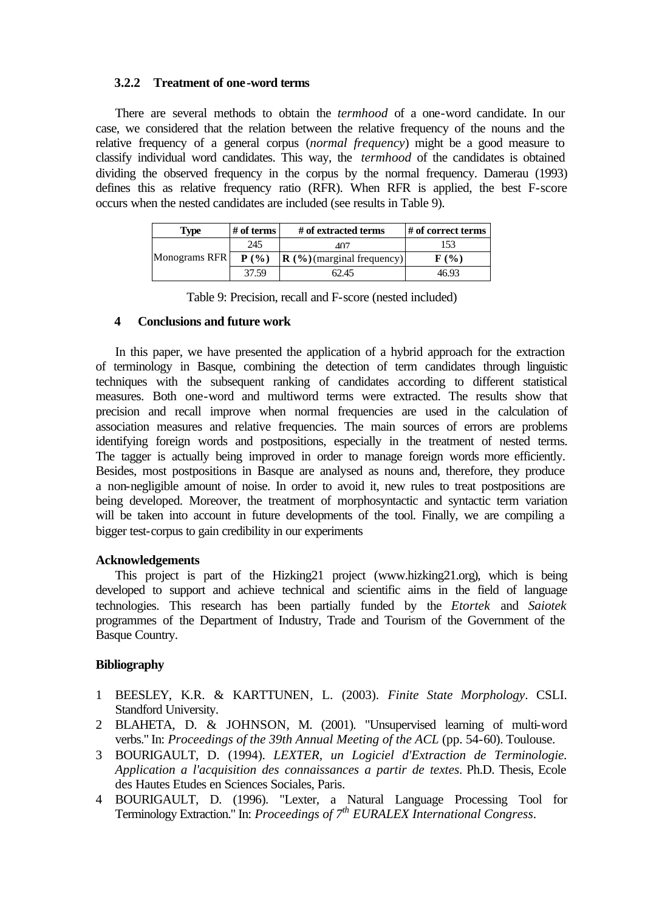# **3.2.2 Treatment of one-word terms**

There are several methods to obtain the *termhood* of a one-word candidate. In our case, we considered that the relation between the relative frequency of the nouns and the relative frequency of a general corpus (*normal frequency*) might be a good measure to classify individual word candidates. This way, the *termhood* of the candidates is obtained dividing the observed frequency in the corpus by the normal frequency. Damerau (1993) defines this as relative frequency ratio (RFR). When RFR is applied, the best F-score occurs when the nested candidates are included (see results in Table 9).

| Type          | $#$ of terms | # of extracted terms                  | # of correct terms          |
|---------------|--------------|---------------------------------------|-----------------------------|
|               | 245          | 107                                   |                             |
| Monograms RFR | $P($ %)      | $\mathbf{R}$ (%) (marginal frequency) | $\mathbf{F}(\mathcal{Y}_0)$ |
|               | 37.59        | 62.45                                 | 46.93                       |

Table 9: Precision, recall and F-score (nested included)

# **4 Conclusions and future work**

In this paper, we have presented the application of a hybrid approach for the extraction of terminology in Basque, combining the detection of term candidates through linguistic techniques with the subsequent ranking of candidates according to different statistical measures. Both one-word and multiword terms were extracted. The results show that precision and recall improve when normal frequencies are used in the calculation of association measures and relative frequencies. The main sources of errors are problems identifying foreign words and postpositions, especially in the treatment of nested terms. The tagger is actually being improved in order to manage foreign words more efficiently. Besides, most postpositions in Basque are analysed as nouns and, therefore, they produce a non-negligible amount of noise. In order to avoid it, new rules to treat postpositions are being developed. Moreover, the treatment of morphosyntactic and syntactic term variation will be taken into account in future developments of the tool. Finally, we are compiling a bigger test-corpus to gain credibility in our experiments

# **Acknowledgements**

This project is part of the Hizking21 project (www.hizking21.org), which is being developed to support and achieve technical and scientific aims in the field of language technologies. This research has been partially funded by the *Etortek* and *Saiotek* programmes of the Department of Industry, Trade and Tourism of the Government of the Basque Country.

# **Bibliography**

- 1 BEESLEY, K.R. & KARTTUNEN, L. (2003). *Finite State Morphology*. CSLI. Standford University.
- 2 BLAHETA, D. & JOHNSON, M. (2001). "Unsupervised learning of multi-word verbs." In: *Proceedings of the 39th Annual Meeting of the ACL* (pp. 54-60). Toulouse.
- 3 BOURIGAULT, D. (1994). *LEXTER, un Logiciel d'Extraction de Terminologie. Application a l'acquisition des connaissances a partir de textes*. Ph.D. Thesis, Ecole des Hautes Etudes en Sciences Sociales, Paris.
- 4 BOURIGAULT, D. (1996). "Lexter, a Natural Language Processing Tool for Terminology Extraction." In: *Proceedings of 7th EURALEX International Congress*.